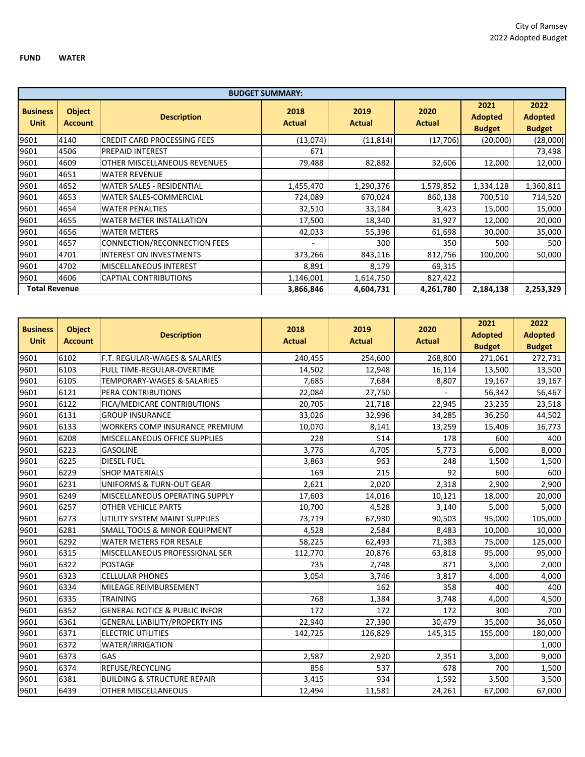|                                |                                 |                                     | <b>BUDGET SUMMARY:</b> |                       |                       |                                         |                                         |
|--------------------------------|---------------------------------|-------------------------------------|------------------------|-----------------------|-----------------------|-----------------------------------------|-----------------------------------------|
| <b>Business</b><br><b>Unit</b> | <b>Object</b><br><b>Account</b> | <b>Description</b>                  | 2018<br><b>Actual</b>  | 2019<br><b>Actual</b> | 2020<br><b>Actual</b> | 2021<br><b>Adopted</b><br><b>Budget</b> | 2022<br><b>Adopted</b><br><b>Budget</b> |
| 9601                           | 4140                            | <b>CREDIT CARD PROCESSING FEES</b>  | (13,074)               | (11, 814)             | (17, 706)             | (20,000)                                | (28,000)                                |
| 9601                           | 4506                            | <b>PREPAID INTEREST</b>             | 671                    |                       |                       |                                         | 73,498                                  |
| 9601                           | 4609                            | OTHER MISCELLANEOUS REVENUES        | 79,488                 | 82,882                | 32,606                | 12,000                                  | 12,000                                  |
| 9601                           | 4651                            | <b>WATER REVENUE</b>                |                        |                       |                       |                                         |                                         |
| 9601                           | 4652                            | <b>WATER SALES - RESIDENTIAL</b>    | 1,455,470              | 1,290,376             | 1,579,852             | 1,334,128                               | 1,360,811                               |
| 9601                           | 4653                            | WATER SALES-COMMERCIAL              | 724,089                | 670,024               | 860,138               | 700,510                                 | 714,520                                 |
| 9601                           | 4654                            | <b>WATER PENALTIES</b>              | 32,510                 | 33,184                | 3,423                 | 15,000                                  | 15,000                                  |
| 9601                           | 4655                            | <b>WATER METER INSTALLATION</b>     | 17,500                 | 18,340                | 31,927                | 12,000                                  | 20,000                                  |
| 9601                           | 4656                            | <b>WATER METERS</b>                 | 42,033                 | 55,396                | 61,698                | 30,000                                  | 35,000                                  |
| 9601                           | 4657                            | <b>CONNECTION/RECONNECTION FEES</b> |                        | 300                   | 350                   | 500                                     | 500                                     |
| 9601                           | 4701                            | <b>INTEREST ON INVESTMENTS</b>      | 373,266                | 843,116               | 812,756               | 100,000                                 | 50,000                                  |
| 9601                           | 4702                            | <b>MISCELLANEOUS INTEREST</b>       | 8,891                  | 8,179                 | 69,315                |                                         |                                         |
| 9601                           | 4606                            | <b>CAPTIAL CONTRIBUTIONS</b>        | 1,146,001              | 1,614,750             | 827,422               |                                         |                                         |
| <b>Total Revenue</b>           |                                 |                                     | 3,866,846              | 4,604,731             | 4,261,780             | 2,184,138                               | 2,253,329                               |

| <b>Business</b><br><b>Unit</b> | <b>Object</b><br><b>Account</b> | <b>Description</b>                       | 2018<br><b>Actual</b> | 2019<br><b>Actual</b> | 2020<br><b>Actual</b> | 2021<br><b>Adopted</b><br><b>Budget</b> | 2022<br><b>Adopted</b><br><b>Budget</b> |
|--------------------------------|---------------------------------|------------------------------------------|-----------------------|-----------------------|-----------------------|-----------------------------------------|-----------------------------------------|
| 9601                           | 6102                            | F.T. REGULAR-WAGES & SALARIES            | 240,455               | 254,600               | 268,800               | 271,061                                 | 272,731                                 |
| 9601                           | 6103                            | <b>FULL TIME-REGULAR-OVERTIME</b>        | 14,502                | 12,948                | 16,114                | 13,500                                  | 13,500                                  |
| 9601                           | 6105                            | <b>TEMPORARY-WAGES &amp; SALARIES</b>    | 7,685                 | 7,684                 | 8,807                 | 19,167                                  | 19,167                                  |
| 9601                           | 6121                            | <b>PERA CONTRIBUTIONS</b>                | 22,084                | 27,750                |                       | 56,342                                  | 56,467                                  |
| 9601                           | 6122                            | FICA/MEDICARE CONTRIBUTIONS              | 20,705                | 21,718                | 22,945                | 23,235                                  | 23,518                                  |
| 9601                           | 6131                            | <b>GROUP INSURANCE</b>                   | 33,026                | 32,996                | 34,285                | 36,250                                  | 44,502                                  |
| 9601                           | 6133                            | WORKERS COMP INSURANCE PREMIUM           | 10,070                | 8,141                 | 13,259                | 15,406                                  | 16,773                                  |
| 9601                           | 6208                            | <b>MISCELLANEOUS OFFICE SUPPLIES</b>     | 228                   | 514                   | 178                   | 600                                     | 400                                     |
| 9601                           | 6223                            | <b>GASOLINE</b>                          | 3,776                 | 4,705                 | 5,773                 | 6,000                                   | 8,000                                   |
| 9601                           | 6225                            | <b>DIESEL FUEL</b>                       | 3,863                 | 963                   | 248                   | 1,500                                   | 1,500                                   |
| 9601                           | 6229                            | <b>SHOP MATERIALS</b>                    | 169                   | 215                   | 92                    | 600                                     | 600                                     |
| 9601                           | 6231                            | <b>UNIFORMS &amp; TURN-OUT GEAR</b>      | 2,621                 | 2,020                 | 2,318                 | 2,900                                   | 2,900                                   |
| 9601                           | 6249                            | MISCELLANEOUS OPERATING SUPPLY           | 17,603                | 14,016                | 10,121                | 18,000                                  | 20,000                                  |
| 9601                           | 6257                            | <b>OTHER VEHICLE PARTS</b>               | 10,700                | 4,528                 | 3,140                 | 5,000                                   | 5,000                                   |
| 9601                           | 6273                            | UTILITY SYSTEM MAINT SUPPLIES            | 73,719                | 67,930                | 90,503                | 95,000                                  | 105,000                                 |
| 9601                           | 6281                            | <b>SMALL TOOLS &amp; MINOR EQUIPMENT</b> | 4,528                 | 2,584                 | 8,483                 | 10,000                                  | 10,000                                  |
| 9601                           | 6292                            | <b>WATER METERS FOR RESALE</b>           | 58,225                | 62,493                | 71,383                | 75,000                                  | 125,000                                 |
| 9601                           | 6315                            | MISCELLANEOUS PROFESSIONAL SER           | 112,770               | 20,876                | 63,818                | 95,000                                  | 95,000                                  |
| 9601                           | 6322                            | <b>POSTAGE</b>                           | 735                   | 2,748                 | 871                   | 3,000                                   | 2,000                                   |
| 9601                           | 6323                            | <b>CELLULAR PHONES</b>                   | 3,054                 | 3,746                 | 3,817                 | 4,000                                   | 4,000                                   |
| 9601                           | 6334                            | MILEAGE REIMBURSEMENT                    |                       | 162                   | 358                   | 400                                     | 400                                     |
| 9601                           | 6335                            | <b>TRAINING</b>                          | 768                   | 1,384                 | 3,748                 | 4,000                                   | 4,500                                   |
| 9601                           | 6352                            | <b>GENERAL NOTICE &amp; PUBLIC INFOR</b> | 172                   | 172                   | 172                   | 300                                     | 700                                     |
| 9601                           | 6361                            | <b>GENERAL LIABILITY/PROPERTY INS</b>    | 22,940                | 27,390                | 30,479                | 35,000                                  | 36,050                                  |
| 9601                           | 6371                            | <b>ELECTRIC UTILITIES</b>                | 142,725               | 126,829               | 145,315               | 155,000                                 | 180,000                                 |
| 9601                           | 6372                            | <b>WATER/IRRIGATION</b>                  |                       |                       |                       |                                         | 1,000                                   |
| 9601                           | 6373                            | <b>GAS</b>                               | 2,587                 | 2,920                 | 2,351                 | 3,000                                   | 9,000                                   |
| 9601                           | 6374                            | REFUSE/RECYCLING                         | 856                   | 537                   | 678                   | 700                                     | 1,500                                   |
| 9601                           | 6381                            | <b>BUILDING &amp; STRUCTURE REPAIR</b>   | 3,415                 | 934                   | 1,592                 | 3,500                                   | 3,500                                   |
| 9601                           | 6439                            | <b>OTHER MISCELLANEOUS</b>               | 12,494                | 11,581                | 24,261                | 67,000                                  | 67,000                                  |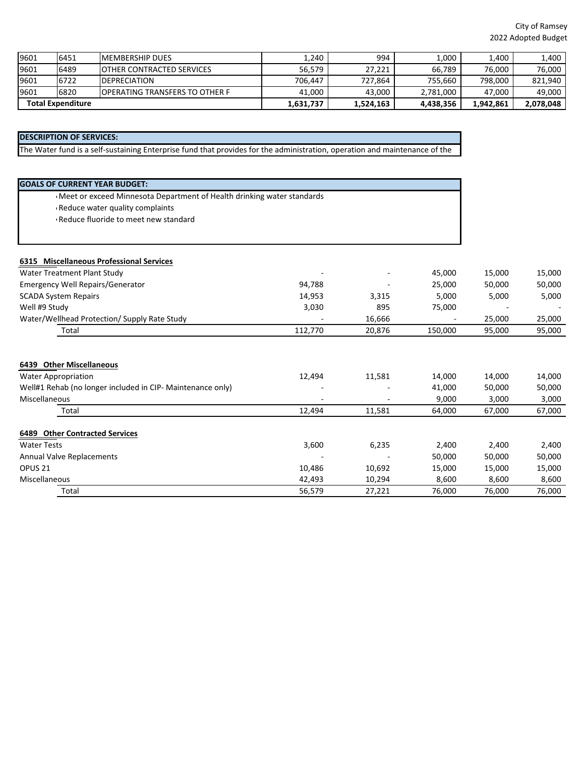| 9601                     | 6451 | <b>IMEMBERSHIP DUES</b>                | 1,240     | 994       | 1,000     | 1,400     | 1,400   |
|--------------------------|------|----------------------------------------|-----------|-----------|-----------|-----------|---------|
| 9601                     | 6489 | <b>IOTHER CONTRACTED SERVICES</b>      | 56.579    | 27,221    | 66,789    | 76.000    | 76.000  |
| 9601                     | 6722 | <b>IDEPRECIATION</b>                   | 706.447   | 727,864   | 755.660   | 798.000   | 821.940 |
| 9601                     | 6820 | <b>IOPERATING TRANSFERS TO OTHER F</b> | 41.000    | 43,000    | 2,781,000 | 47.000    | 49,000  |
| <b>Total Expenditure</b> |      | 1,631,737                              | 1,524,163 | 4.438.356 | 1,942,861 | 2,078,048 |         |

# **DESCRIPTION OF SERVICES:**

The Water fund is a self-sustaining Enterprise fund that provides for the administration, operation and maintenance of the

| <b>GOALS OF CURRENT YEAR BUDGET:</b>                                   |         |        |         |        |        |
|------------------------------------------------------------------------|---------|--------|---------|--------|--------|
| Meet or exceed Minnesota Department of Health drinking water standards |         |        |         |        |        |
| Reduce water quality complaints                                        |         |        |         |        |        |
| Reduce fluoride to meet new standard                                   |         |        |         |        |        |
|                                                                        |         |        |         |        |        |
|                                                                        |         |        |         |        |        |
| 6315 Miscellaneous Professional Services                               |         |        |         |        |        |
| Water Treatment Plant Study                                            |         |        | 45,000  | 15,000 | 15,000 |
| Emergency Well Repairs/Generator                                       | 94,788  |        | 25,000  | 50,000 | 50,000 |
| <b>SCADA System Repairs</b>                                            | 14,953  | 3,315  | 5,000   | 5,000  | 5,000  |
| Well #9 Study                                                          | 3,030   | 895    | 75,000  |        |        |
| Water/Wellhead Protection/ Supply Rate Study                           |         | 16,666 |         | 25,000 | 25,000 |
| Total                                                                  | 112,770 | 20,876 | 150,000 | 95,000 | 95,000 |
| 6439 Other Miscellaneous                                               |         |        |         |        |        |
| <b>Water Appropriation</b>                                             | 12,494  | 11,581 | 14,000  | 14,000 | 14,000 |
| Well#1 Rehab (no longer included in CIP- Maintenance only)             |         |        | 41,000  | 50,000 | 50,000 |
| Miscellaneous                                                          |         |        | 9,000   | 3,000  | 3,000  |
| Total                                                                  | 12,494  | 11,581 | 64,000  | 67,000 | 67,000 |
| 6489 Other Contracted Services                                         |         |        |         |        |        |
| <b>Water Tests</b>                                                     | 3,600   | 6,235  | 2,400   | 2,400  | 2,400  |
| <b>Annual Valve Replacements</b>                                       |         |        | 50,000  | 50,000 | 50,000 |
| OPUS <sub>21</sub>                                                     | 10,486  | 10,692 | 15,000  | 15,000 | 15,000 |
| Miscellaneous                                                          | 42,493  | 10,294 | 8,600   | 8,600  | 8,600  |
| Total                                                                  | 56,579  | 27,221 | 76,000  | 76,000 | 76,000 |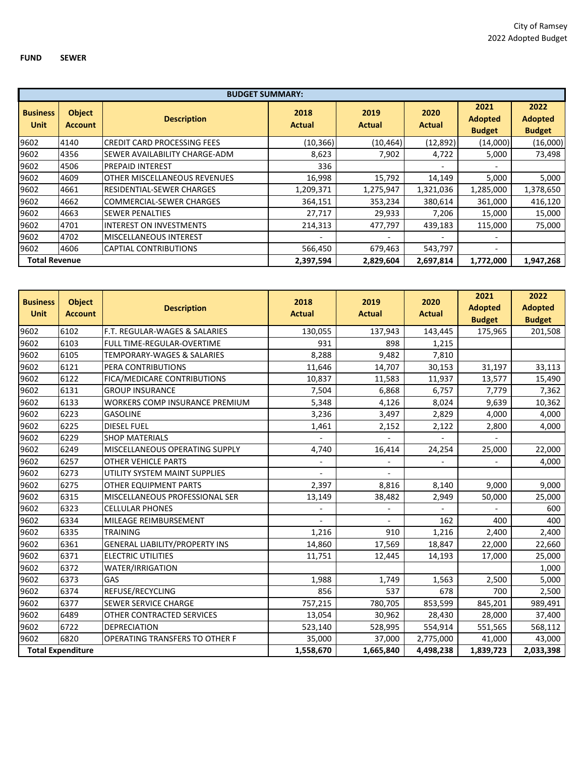|                         |                                 | <b>BUDGET SUMMARY:</b>                |                       |                       |                       |                                         |                                         |
|-------------------------|---------------------------------|---------------------------------------|-----------------------|-----------------------|-----------------------|-----------------------------------------|-----------------------------------------|
| <b>Business</b><br>Unit | <b>Object</b><br><b>Account</b> | <b>Description</b>                    | 2018<br><b>Actual</b> | 2019<br><b>Actual</b> | 2020<br><b>Actual</b> | 2021<br><b>Adopted</b><br><b>Budget</b> | 2022<br><b>Adopted</b><br><b>Budget</b> |
| 9602                    | 4140                            | <b>ICREDIT CARD PROCESSING FEES</b>   | (10, 366)             | (10, 464)             | (12,892)              | (14,000)                                | (16,000)                                |
| 9602                    | 4356                            | <b>ISEWER AVAILABILITY CHARGE-ADM</b> | 8,623                 | 7,902                 | 4,722                 | 5,000                                   | 73,498                                  |
| 9602                    | 4506                            | <b>PREPAID INTEREST</b>               | 336                   |                       |                       |                                         |                                         |
| 9602                    | 4609                            | <b>OTHER MISCELLANEOUS REVENUES</b>   | 16,998                | 15,792                | 14,149                | 5,000                                   | 5,000                                   |
| 9602                    | 4661                            | <b>IRESIDENTIAL-SEWER CHARGES</b>     | 1,209,371             | 1,275,947             | 1,321,036             | 1,285,000                               | 1,378,650                               |
| 9602                    | 4662                            | <b>COMMERCIAL-SEWER CHARGES</b>       | 364,151               | 353,234               | 380,614               | 361,000                                 | 416,120                                 |
| 9602                    | 4663                            | <b>SEWER PENALTIES</b>                | 27,717                | 29,933                | 7,206                 | 15,000                                  | 15,000                                  |
| 9602                    | 4701                            | <b>INTEREST ON INVESTMENTS</b>        | 214,313               | 477,797               | 439,183               | 115,000                                 | 75,000                                  |
| 9602                    | 4702                            | <b>IMISCELLANEOUS INTEREST</b>        |                       |                       |                       | $\overline{\phantom{0}}$                |                                         |
| 9602                    | 4606                            | <b>CAPTIAL CONTRIBUTIONS</b>          | 566,450               | 679,463               | 543,797               | $\overline{\phantom{0}}$                |                                         |
| <b>Total Revenue</b>    |                                 |                                       | 2,397,594             | 2,829,604             | 2,697,814             | 1,772,000                               | 1,947,268                               |

| <b>Business</b><br><b>Unit</b> | <b>Object</b><br><b>Account</b> | <b>Description</b>                       | 2018<br><b>Actual</b>    | 2019<br><b>Actual</b> | 2020<br><b>Actual</b> | 2021<br><b>Adopted</b><br><b>Budget</b> | 2022<br><b>Adopted</b><br><b>Budget</b> |
|--------------------------------|---------------------------------|------------------------------------------|--------------------------|-----------------------|-----------------------|-----------------------------------------|-----------------------------------------|
| 9602                           | 6102                            | <b>F.T. REGULAR-WAGES &amp; SALARIES</b> | 130,055                  | 137,943               | 143,445               | 175,965                                 | 201,508                                 |
| 9602                           | 6103                            | <b>FULL TIME-REGULAR-OVERTIME</b>        | 931                      | 898                   | 1,215                 |                                         |                                         |
| 9602                           | 6105                            | <b>TEMPORARY-WAGES &amp; SALARIES</b>    | 8,288                    | 9,482                 | 7,810                 |                                         |                                         |
| 9602                           | 6121                            | PERA CONTRIBUTIONS                       | 11,646                   | 14,707                | 30,153                | 31,197                                  | 33,113                                  |
| 9602                           | 6122                            | FICA/MEDICARE CONTRIBUTIONS              | 10,837                   | 11,583                | 11,937                | 13,577                                  | 15,490                                  |
| 9602                           | 6131                            | <b>GROUP INSURANCE</b>                   | 7,504                    | 6,868                 | 6,757                 | 7,779                                   | 7,362                                   |
| 9602                           | 6133                            | <b>WORKERS COMP INSURANCE PREMIUM</b>    | 5,348                    | 4,126                 | 8,024                 | 9,639                                   | 10,362                                  |
| 9602                           | 6223                            | <b>GASOLINE</b>                          | 3,236                    | 3,497                 | 2,829                 | 4,000                                   | 4,000                                   |
| 9602                           | 6225                            | <b>DIESEL FUEL</b>                       | 1,461                    | 2,152                 | 2,122                 | 2,800                                   | 4,000                                   |
| 9602                           | 6229                            | <b>SHOP MATERIALS</b>                    | $\overline{\phantom{0}}$ |                       |                       |                                         |                                         |
| 9602                           | 6249                            | MISCELLANEOUS OPERATING SUPPLY           | 4,740                    | 16,414                | 24,254                | 25,000                                  | 22,000                                  |
| 9602                           | 6257                            | <b>OTHER VEHICLE PARTS</b>               |                          |                       |                       |                                         | 4,000                                   |
| 9602                           | 6273                            | UTILITY SYSTEM MAINT SUPPLIES            |                          |                       |                       |                                         |                                         |
| 9602                           | 6275                            | OTHER EQUIPMENT PARTS                    | 2,397                    | 8,816                 | 8,140                 | 9,000                                   | 9,000                                   |
| 9602                           | 6315                            | MISCELLANEOUS PROFESSIONAL SER           | 13,149                   | 38,482                | 2,949                 | 50,000                                  | 25,000                                  |
| 9602                           | 6323                            | <b>CELLULAR PHONES</b>                   |                          |                       |                       |                                         | 600                                     |
| 9602                           | 6334                            | MILEAGE REIMBURSEMENT                    |                          |                       | 162                   | 400                                     | 400                                     |
| 9602                           | 6335                            | <b>TRAINING</b>                          | 1,216                    | 910                   | 1,216                 | 2,400                                   | 2,400                                   |
| 9602                           | 6361                            | <b>GENERAL LIABILITY/PROPERTY INS</b>    | 14,860                   | 17,569                | 18,847                | 22,000                                  | 22,660                                  |
| 9602                           | 6371                            | <b>ELECTRIC UTILITIES</b>                | 11,751                   | 12,445                | 14,193                | 17,000                                  | 25,000                                  |
| 9602                           | 6372                            | WATER/IRRIGATION                         |                          |                       |                       |                                         | 1,000                                   |
| 9602                           | 6373                            | GAS                                      | 1,988                    | 1,749                 | 1,563                 | 2,500                                   | 5,000                                   |
| 9602                           | 6374                            | REFUSE/RECYCLING                         | 856                      | 537                   | 678                   | 700                                     | 2,500                                   |
| 9602                           | 6377                            | <b>SEWER SERVICE CHARGE</b>              | 757,215                  | 780,705               | 853,599               | 845,201                                 | 989,491                                 |
| 9602                           | 6489                            | OTHER CONTRACTED SERVICES                | 13,054                   | 30,962                | 28,430                | 28,000                                  | 37,400                                  |
| 9602                           | 6722                            | <b>DEPRECIATION</b>                      | 523,140                  | 528,995               | 554,914               | 551,565                                 | 568,112                                 |
| 9602                           | 6820                            | <b>OPERATING TRANSFERS TO OTHER F</b>    | 35,000                   | 37,000                | 2,775,000             | 41,000                                  | 43,000                                  |
|                                | <b>Total Expenditure</b>        |                                          | 1,558,670                | 1,665,840             | 4,498,238             | 1,839,723                               | 2,033,398                               |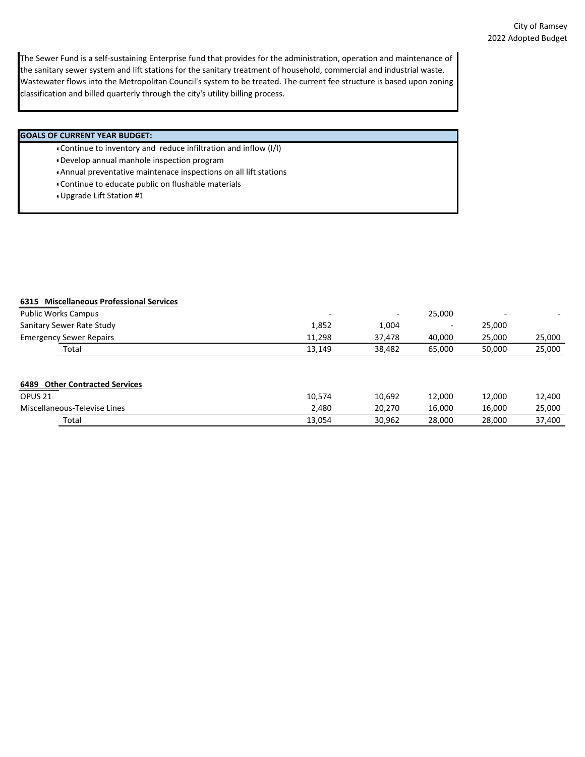The Sewer Fund is a self-sustaining Enterprise fund that provides for the administration, operation and maintenance of the sanitary sewer system and lift stations for the sanitary treatment of household, commercial and industrial waste. Wastewater flows into the Metropolitan Council's system to be treated. The current fee structure is based upon zoning classification and billed quarterly through the city's utility billing process.

### **GOALS OF CURRENT YEAR BUDGET:**

- Continue to inventory and reduce infiltration and inflow (I/I)
- Develop annual manhole inspection program
- Annual preventative maintenace inspections on all lift stations
- Continue to educate public on flushable materials
- Upgrade Lift Station #1

## **6315 Miscellaneous Professional Services**

| <b>Public Works Campus</b>     | $\overline{\phantom{0}}$ | $\overline{\phantom{0}}$ | 25,000                   | -      |        |
|--------------------------------|--------------------------|--------------------------|--------------------------|--------|--------|
| Sanitary Sewer Rate Study      | 1,852                    | 1,004                    | $\overline{\phantom{0}}$ | 25,000 |        |
| <b>Emergency Sewer Repairs</b> | 11,298                   | 37.478                   | 40,000                   | 25,000 | 25,000 |
| Total                          | 13.149                   | 38,482                   | 65,000                   | 50,000 | 25,000 |
|                                |                          |                          |                          |        |        |
| 6489 Other Contracted Services |                          |                          |                          |        |        |

| OPUS <sub>21</sub>           | 10,574 | 10,692 | 12,000 | 12,000 | 12,400 |
|------------------------------|--------|--------|--------|--------|--------|
| Miscellaneous-Televise Lines | 2,480  | 20.270 | 16,000 | 16,000 | 25,000 |
| Total                        | 13,054 | 30,962 | 28,000 | 28,000 | 37,400 |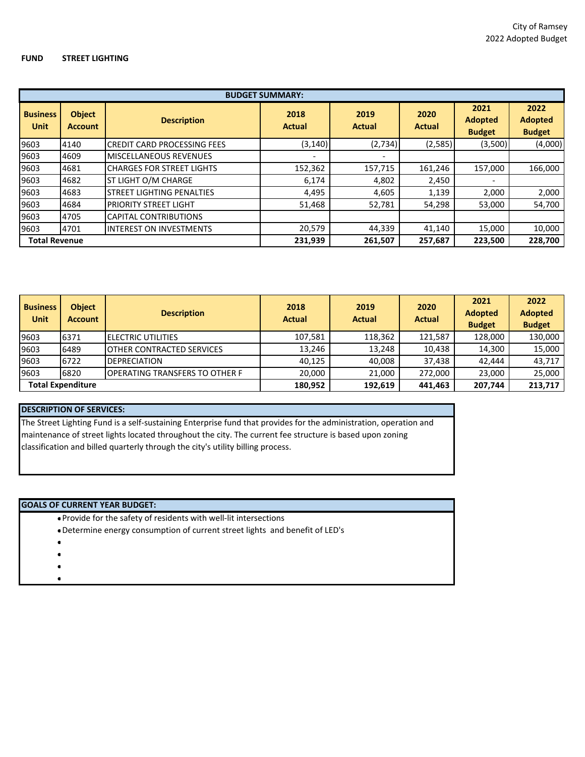### **FUND STREET LIGHTING**

|                                | <b>BUDGET SUMMARY:</b>          |                                    |                          |                          |                |                                         |                                         |  |  |  |
|--------------------------------|---------------------------------|------------------------------------|--------------------------|--------------------------|----------------|-----------------------------------------|-----------------------------------------|--|--|--|
| <b>Business</b><br><b>Unit</b> | <b>Object</b><br><b>Account</b> | <b>Description</b>                 | 2018<br>Actual           | 2019<br><b>Actual</b>    | 2020<br>Actual | 2021<br><b>Adopted</b><br><b>Budget</b> | 2022<br><b>Adopted</b><br><b>Budget</b> |  |  |  |
| 9603                           | 4140                            | <b>CREDIT CARD PROCESSING FEES</b> | (3, 140)                 | (2,734)                  | (2,585)        | (3,500)                                 | (4,000)                                 |  |  |  |
| 9603                           | 4609                            | <b>MISCELLANEOUS REVENUES</b>      | $\overline{\phantom{0}}$ | $\overline{\phantom{0}}$ |                |                                         |                                         |  |  |  |
| 9603                           | 4681                            | <b>CHARGES FOR STREET LIGHTS</b>   | 152,362                  | 157,715                  | 161,246        | 157,000                                 | 166,000                                 |  |  |  |
| 9603                           | 4682                            | ST LIGHT O/M CHARGE                | 6,174                    | 4,802                    | 2,450          | $\overline{\phantom{0}}$                |                                         |  |  |  |
| 9603                           | 4683                            | <b>STREET LIGHTING PENALTIES</b>   | 4,495                    | 4,605                    | 1,139          | 2,000                                   | 2,000                                   |  |  |  |
| 9603                           | 4684                            | <b>PRIORITY STREET LIGHT</b>       | 51,468                   | 52,781                   | 54,298         | 53,000                                  | 54,700                                  |  |  |  |
| 9603                           | 4705                            | <b>CAPITAL CONTRIBUTIONS</b>       |                          |                          |                |                                         |                                         |  |  |  |
| 9603                           | 4701                            | <b>INTEREST ON INVESTMENTS</b>     | 20,579                   | 44,339                   | 41,140         | 15,000                                  | 10,000                                  |  |  |  |
| <b>Total Revenue</b>           |                                 |                                    | 231,939                  | 261,507                  | 257,687        | 223,500                                 | 228,700                                 |  |  |  |

| <b>Business</b><br><b>Unit</b> | <b>Object</b><br><b>Account</b> | <b>Description</b>                | 2018<br><b>Actual</b> | 2019<br><b>Actual</b> | 2020<br><b>Actual</b> | 2021<br><b>Adopted</b><br><b>Budget</b> | 2022<br><b>Adopted</b><br><b>Budget</b> |
|--------------------------------|---------------------------------|-----------------------------------|-----------------------|-----------------------|-----------------------|-----------------------------------------|-----------------------------------------|
| 9603                           | 6371                            | <b>IELECTRIC UTILITIES</b>        | 107,581               | 118,362               | 121,587               | 128,000                                 | 130,000                                 |
| 9603                           | 6489                            | <b>IOTHER CONTRACTED SERVICES</b> | 13.246                | 13,248                | 10.438                | 14,300                                  | 15,000                                  |
| 9603                           | 6722                            | DEPRECIATION                      | 40.125                | 40,008                | 37.438                | 42,444                                  | 43.717                                  |
| 9603                           | 6820                            | IOPERATING TRANSFERS TO OTHER F   | 20.000                | 21.000                | 272.000               | 23,000                                  | 25,000                                  |
|                                | <b>Total Expenditure</b>        |                                   | 180,952               | 192.619               | 441.463               | 207.744                                 | 213,717                                 |

## **DESCRIPTION OF SERVICES:**

The Street Lighting Fund is a self-sustaining Enterprise fund that provides for the administration, operation and maintenance of street lights located throughout the city. The current fee structure is based upon zoning classification and billed quarterly through the city's utility billing process.

## **GOALS OF CURRENT YEAR BUDGET:**

• Provide for the safety of residents with well-lit intersections

- Determine energy consumption of current street lights and benefit of LED's
- •
- •
- •
- •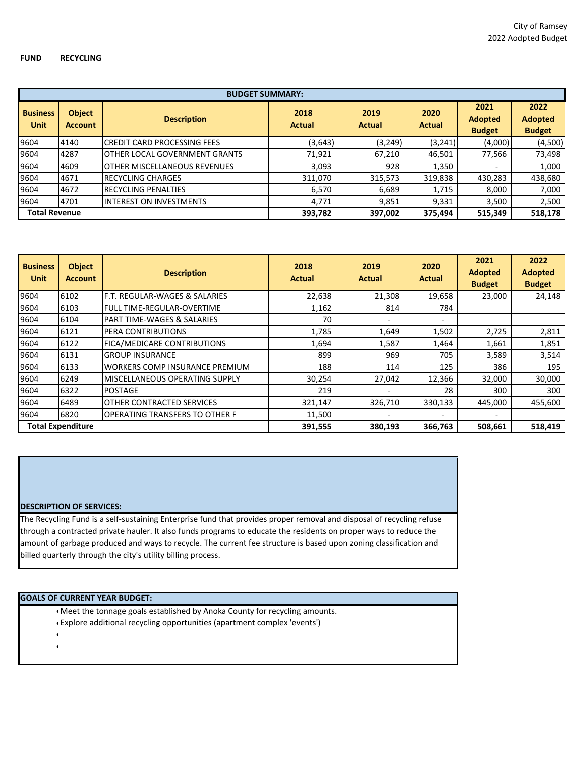|                                | <b>BUDGET SUMMARY:</b>          |                                      |                       |                       |                       |                                         |                                         |  |  |  |
|--------------------------------|---------------------------------|--------------------------------------|-----------------------|-----------------------|-----------------------|-----------------------------------------|-----------------------------------------|--|--|--|
| <b>Business</b><br><b>Unit</b> | <b>Object</b><br><b>Account</b> | <b>Description</b>                   | 2018<br><b>Actual</b> | 2019<br><b>Actual</b> | 2020<br><b>Actual</b> | 2021<br><b>Adopted</b><br><b>Budget</b> | 2022<br><b>Adopted</b><br><b>Budget</b> |  |  |  |
| 9604                           | 4140                            | <b>CREDIT CARD PROCESSING FEES</b>   | (3,643)               | (3, 249)              | (3,241)               | (4,000)                                 | (4,500)                                 |  |  |  |
| 9604                           | 4287                            | <b>OTHER LOCAL GOVERNMENT GRANTS</b> | 71,921                | 67,210                | 46,501                | 77,566                                  | 73,498                                  |  |  |  |
| 9604                           | 4609                            | <b>OTHER MISCELLANEOUS REVENUES</b>  | 3,093                 | 928                   | 1,350                 |                                         | 1,000                                   |  |  |  |
| 9604                           | 4671                            | <b>RECYCLING CHARGES</b>             | 311,070               | 315,573               | 319,838               | 430,283                                 | 438,680                                 |  |  |  |
| 9604                           | 4672                            | <b>RECYCLING PENALTIES</b>           | 6,570                 | 6,689                 | 1,715                 | 8,000                                   | 7,000                                   |  |  |  |
| 9604                           | 4701                            | <b>IINTEREST ON INVESTMENTS</b>      | 4.771                 | 9,851                 | 9,331                 | 3,500                                   | 2,500                                   |  |  |  |
| <b>Total Revenue</b>           |                                 |                                      | 393,782               | 397,002               | 375,494               | 515,349                                 | 518,178                                 |  |  |  |

| <b>Business</b><br>Unit | <b>Object</b><br><b>Account</b> | <b>Description</b>                    | 2018<br><b>Actual</b> | 2019<br><b>Actual</b> | 2020<br><b>Actual</b>    | 2021<br><b>Adopted</b><br><b>Budget</b> | 2022<br><b>Adopted</b><br><b>Budget</b> |
|-------------------------|---------------------------------|---------------------------------------|-----------------------|-----------------------|--------------------------|-----------------------------------------|-----------------------------------------|
| 9604                    | 6102                            | F.T. REGULAR-WAGES & SALARIES         | 22,638                | 21,308                | 19,658                   | 23,000                                  | 24,148                                  |
| 9604                    | 6103                            | <b>FULL TIME-REGULAR-OVERTIME</b>     | 1,162                 | 814                   | 784                      |                                         |                                         |
| 9604                    | 6104                            | <b>PART TIME-WAGES &amp; SALARIES</b> | 70                    |                       | $\overline{\phantom{0}}$ |                                         |                                         |
| 9604                    | 6121                            | PERA CONTRIBUTIONS                    | 1,785                 | 1,649                 | 1,502                    | 2,725                                   | 2,811                                   |
| 9604                    | 6122                            | FICA/MEDICARE CONTRIBUTIONS           | 1,694                 | 1,587                 | 1,464                    | 1,661                                   | 1,851                                   |
| 9604                    | 6131                            | <b>GROUP INSURANCE</b>                | 899                   | 969                   | 705                      | 3,589                                   | 3,514                                   |
| 9604                    | 6133                            | <b>WORKERS COMP INSURANCE PREMIUM</b> | 188                   | 114                   | 125                      | 386                                     | 195                                     |
| 9604                    | 6249                            | <b>MISCELLANEOUS OPERATING SUPPLY</b> | 30,254                | 27,042                | 12,366                   | 32,000                                  | 30,000                                  |
| 9604                    | 6322                            | <b>POSTAGE</b>                        | 219                   |                       | 28                       | 300                                     | 300                                     |
| 9604                    | 6489                            | <b>OTHER CONTRACTED SERVICES</b>      | 321,147               | 326,710               | 330,133                  | 445,000                                 | 455,600                                 |
| 9604                    | 6820                            | <b>OPERATING TRANSFERS TO OTHER F</b> | 11,500                |                       |                          |                                         |                                         |
|                         | <b>Total Expenditure</b>        |                                       | 391,555               | 380,193               | 366,763                  | 508,661                                 | 518,419                                 |

#### **DESCRIPTION OF SERVICES:**

The Recycling Fund is a self-sustaining Enterprise fund that provides proper removal and disposal of recycling refuse through a contracted private hauler. It also funds programs to educate the residents on proper ways to reduce the amount of garbage produced and ways to recycle. The current fee structure is based upon zoning classification and billed quarterly through the city's utility billing process.

#### **GOALS OF CURRENT YEAR BUDGET:**

• Meet the tonnage goals established by Anoka County for recycling amounts.

- Explore additional recycling opportunities (apartment complex 'events')
- •
- •